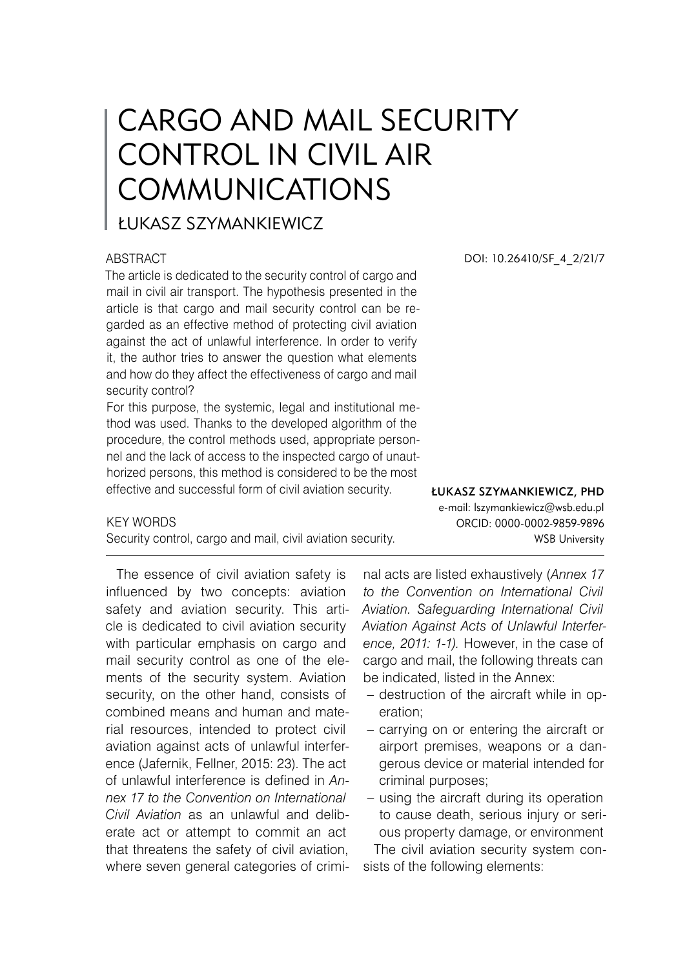# CARGO AND MAIL SECURITY CONTROL IN CIVIL AIR COMMUNICATIONS

# ŁUKASZ SZYMANKIEWICZ

### ABSTRACT

The article is dedicated to the security control of cargo and mail in civil air transport. The hypothesis presented in the article is that cargo and mail security control can be regarded as an effective method of protecting civil aviation against the act of unlawful interference. In order to verify it, the author tries to answer the question what elements and how do they affect the effectiveness of cargo and mail security control?

For this purpose, the systemic, legal and institutional method was used. Thanks to the developed algorithm of the procedure, the control methods used, appropriate personnel and the lack of access to the inspected cargo of unauthorized persons, this method is considered to be the most effective and successful form of civil aviation security.

DOI: 10.26410/SF\_4\_2/21/7

Łukasz Szymankiewicz, PhD e-mail: lszymankiewicz@wsb.edu.pl ORCID: 0000-0002-9859-9896 WSB University

#### KEY WORDS

Security control, cargo and mail, civil aviation security.

The essence of civil aviation safety is influenced by two concepts: aviation safety and aviation security. This article is dedicated to civil aviation security with particular emphasis on cargo and mail security control as one of the elements of the security system. Aviation security, on the other hand, consists of combined means and human and material resources, intended to protect civil aviation against acts of unlawful interference (Jafernik, Fellner, 2015: 23). The act of unlawful interference is defined in *Annex 17 to the Convention on International Civil Aviation* as an unlawful and deliberate act or attempt to commit an act that threatens the safety of civil aviation, where seven general categories of crimi-

nal acts are listed exhaustively (*Annex 17 to the Convention on International Civil Aviation. Safeguarding International Civil Aviation Against Acts of Unlawful Interference, 2011: 1-1).* However, in the case of cargo and mail, the following threats can be indicated, listed in the Annex:

- destruction of the aircraft while in operation;
- carrying on or entering the aircraft or airport premises, weapons or a dangerous device or material intended for criminal purposes;
- using the aircraft during its operation to cause death, serious injury or serious property damage, or environment

The civil aviation security system consists of the following elements: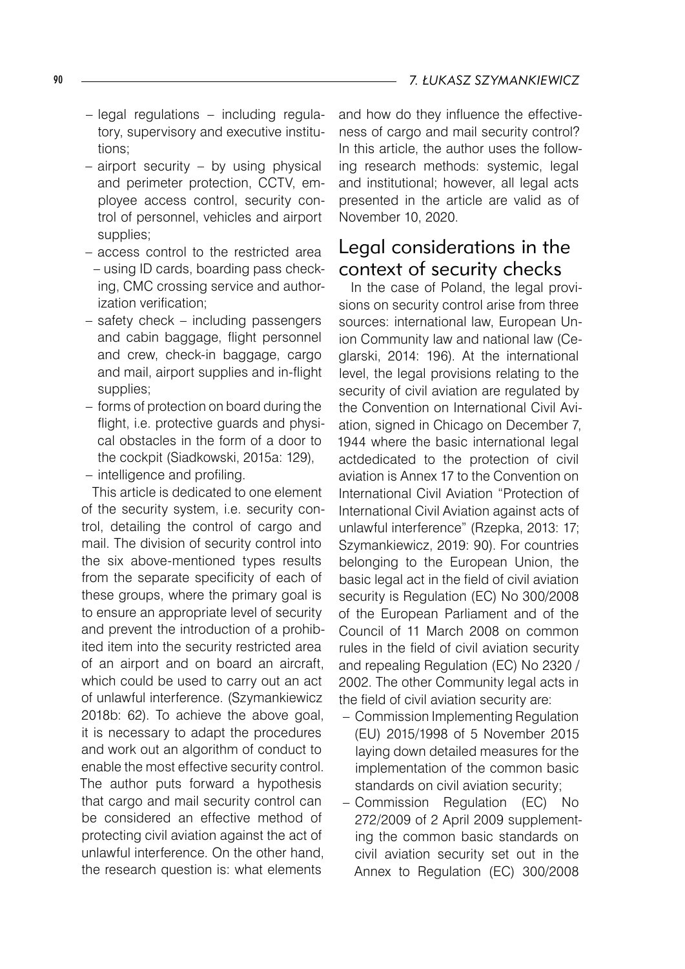#### 90 *7. ŁUKASZ SZYMANKIEWICZ*

- legal regulations including regulatory, supervisory and executive institutions;
- airport security by using physical and perimeter protection, CCTV, employee access control, security control of personnel, vehicles and airport supplies;
- access control to the restricted area – using ID cards, boarding pass checking, CMC crossing service and authorization verification;
- safety check including passengers and cabin baggage, flight personnel and crew, check-in baggage, cargo and mail, airport supplies and in-flight supplies;
- forms of protection on board during the flight, i.e. protective guards and physical obstacles in the form of a door to the cockpit (Siadkowski, 2015a: 129),
- intelligence and profiling.

This article is dedicated to one element of the security system, i.e. security control, detailing the control of cargo and mail. The division of security control into the six above-mentioned types results from the separate specificity of each of these groups, where the primary goal is to ensure an appropriate level of security and prevent the introduction of a prohibited item into the security restricted area of an airport and on board an aircraft, which could be used to carry out an act of unlawful interference. (Szymankiewicz 2018b: 62). To achieve the above goal, it is necessary to adapt the procedures and work out an algorithm of conduct to enable the most effective security control. The author puts forward a hypothesis that cargo and mail security control can be considered an effective method of protecting civil aviation against the act of unlawful interference. On the other hand, the research question is: what elements

and how do they influence the effectiveness of cargo and mail security control? In this article, the author uses the following research methods: systemic, legal and institutional; however, all legal acts presented in the article are valid as of November 10, 2020.

## Legal considerations in the context of security checks

In the case of Poland, the legal provisions on security control arise from three sources: international law, European Union Community law and national law (Ceglarski, 2014: 196). At the international level, the legal provisions relating to the security of civil aviation are regulated by the Convention on International Civil Aviation, signed in Chicago on December 7, 1944 where the basic international legal actdedicated to the protection of civil aviation is Annex 17 to the Convention on International Civil Aviation "Protection of International Civil Aviation against acts of unlawful interference" (Rzepka, 2013: 17; Szymankiewicz, 2019: 90). For countries belonging to the European Union, the basic legal act in the field of civil aviation security is Regulation (EC) No 300/2008 of the European Parliament and of the Council of 11 March 2008 on common rules in the field of civil aviation security and repealing Regulation (EC) No 2320 / 2002. The other Community legal acts in the field of civil aviation security are:

- Commission Implementing Regulation (EU) 2015/1998 of 5 November 2015 laying down detailed measures for the implementation of the common basic standards on civil aviation security;
- Commission Regulation (EC) No 272/2009 of 2 April 2009 supplementing the common basic standards on civil aviation security set out in the Annex to Regulation (EC) 300/2008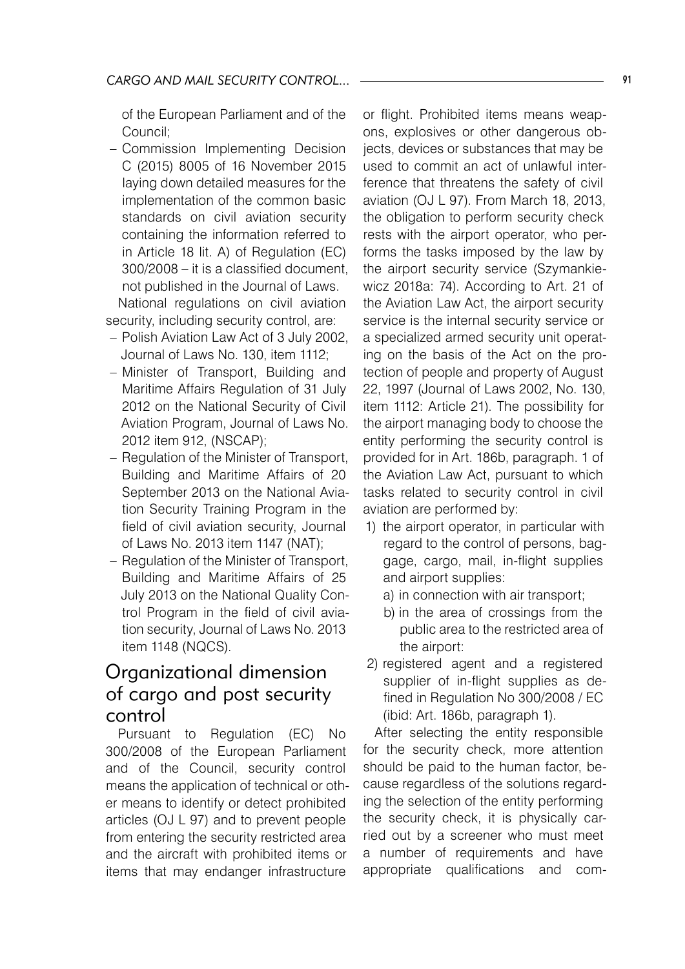of the European Parliament and of the Council;

Commission Implementing Decision – C (2015) 8005 of 16 November 2015 laying down detailed measures for the implementation of the common basic standards on civil aviation security containing the information referred to in Article 18 lit. A) of Regulation (EC) 300/2008 – it is a classified document, not published in the Journal of Laws.

National regulations on civil aviation security, including security control, are:

- Polish Aviation Law Act of 3 July 2002, Journal of Laws No. 130, item 1112;
- Minister of Transport, Building and Maritime Affairs Regulation of 31 July 2012 on the National Security of Civil Aviation Program, Journal of Laws No. 2012 item 912, (NSCAP);
- Regulation of the Minister of Transport, Building and Maritime Affairs of 20 September 2013 on the National Aviation Security Training Program in the field of civil aviation security, Journal of Laws No. 2013 item 1147 (NAT);
- Regulation of the Minister of Transport, Building and Maritime Affairs of 25 July 2013 on the National Quality Control Program in the field of civil aviation security, Journal of Laws No. 2013 item 1148 (NQCS).

## Organizational dimension of cargo and post security control

Pursuant to Regulation (EC) No 300/2008 of the European Parliament and of the Council, security control means the application of technical or other means to identify or detect prohibited articles (OJ L 97) and to prevent people from entering the security restricted area and the aircraft with prohibited items or items that may endanger infrastructure

or flight. Prohibited items means weapons, explosives or other dangerous objects, devices or substances that may be used to commit an act of unlawful interference that threatens the safety of civil aviation (OJ L 97). From March 18, 2013, the obligation to perform security check rests with the airport operator, who performs the tasks imposed by the law by the airport security service (Szymankiewicz 2018a: 74). According to Art. 21 of the Aviation Law Act, the airport security service is the internal security service or a specialized armed security unit operating on the basis of the Act on the protection of people and property of August 22, 1997 (Journal of Laws 2002, No. 130, item 1112: Article 21). The possibility for the airport managing body to choose the entity performing the security control is provided for in Art. 186b, paragraph. 1 of the Aviation Law Act, pursuant to which tasks related to security control in civil aviation are performed by:

- 1) the airport operator, in particular with regard to the control of persons, baggage, cargo, mail, in-flight supplies and airport supplies:
	- a) in connection with air transport;
	- b) in the area of crossings from the public area to the restricted area of the airport:
- 2) registered agent and a registered supplier of in-flight supplies as defined in Regulation No 300/2008 / EC (ibid: Art. 186b, paragraph 1).

After selecting the entity responsible for the security check, more attention should be paid to the human factor, because regardless of the solutions regarding the selection of the entity performing the security check, it is physically carried out by a screener who must meet a number of requirements and have appropriate qualifications and com-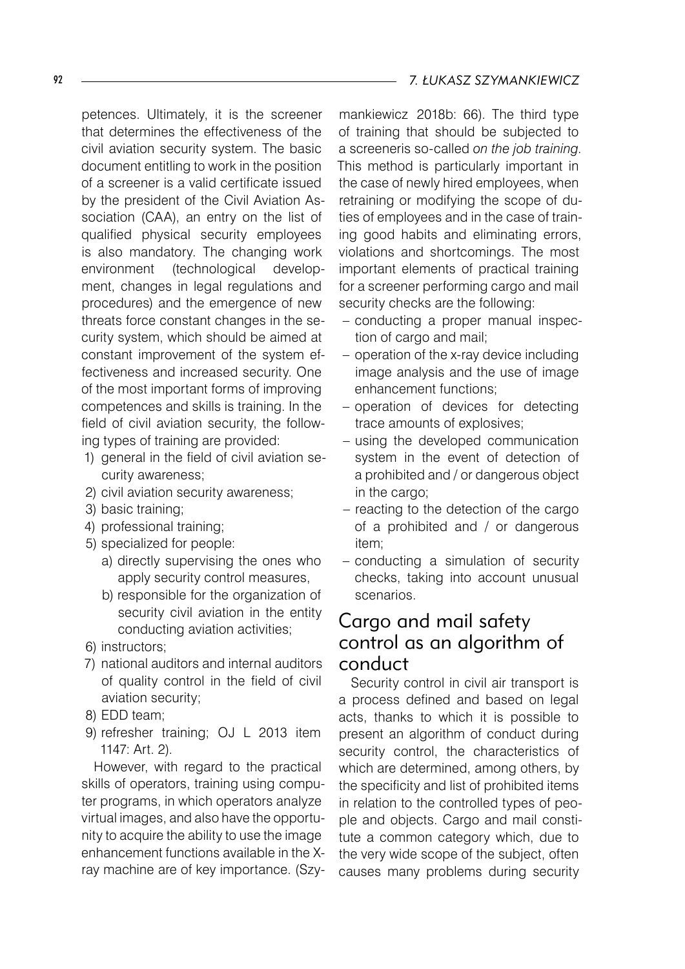petences. Ultimately, it is the screener that determines the effectiveness of the civil aviation security system. The basic document entitling to work in the position of a screener is a valid certificate issued by the president of the Civil Aviation Association (CAA), an entry on the list of qualified physical security employees is also mandatory. The changing work environment (technological development, changes in legal regulations and procedures) and the emergence of new threats force constant changes in the security system, which should be aimed at constant improvement of the system effectiveness and increased security. One of the most important forms of improving competences and skills is training. In the field of civil aviation security, the following types of training are provided:

- 1) general in the field of civil aviation security awareness;
- 2) civil aviation security awareness;
- 3) basic training;
- 4) professional training;
- 5) specialized for people:
	- a) directly supervising the ones who apply security control measures,
	- b) responsible for the organization of security civil aviation in the entity conducting aviation activities;
- 6) instructors;
- 7) national auditors and internal auditors of quality control in the field of civil aviation security;
- 8) EDD team;
- 9) refresher training; OJ L 2013 item 1147: Art. 2).

However, with regard to the practical skills of operators, training using computer programs, in which operators analyze virtual images, and also have the opportunity to acquire the ability to use the image enhancement functions available in the Xray machine are of key importance. (Szy-

mankiewicz 2018b: 66). The third type of training that should be subjected to a screeneris so-called *on the job training*. This method is particularly important in the case of newly hired employees, when retraining or modifying the scope of duties of employees and in the case of training good habits and eliminating errors, violations and shortcomings. The most important elements of practical training for a screener performing cargo and mail security checks are the following:

- conducting a proper manual inspection of cargo and mail;
- operation of the x-ray device including image analysis and the use of image enhancement functions;
- operation of devices for detecting trace amounts of explosives;
- using the developed communication system in the event of detection of a prohibited and / or dangerous object in the cargo;
- reacting to the detection of the cargo of a prohibited and / or dangerous item;
- conducting a simulation of security checks, taking into account unusual scenarios.

## Cargo and mail safety control as an algorithm of conduct

Security control in civil air transport is a process defined and based on legal acts, thanks to which it is possible to present an algorithm of conduct during security control, the characteristics of which are determined, among others, by the specificity and list of prohibited items in relation to the controlled types of people and objects. Cargo and mail constitute a common category which, due to the very wide scope of the subject, often causes many problems during security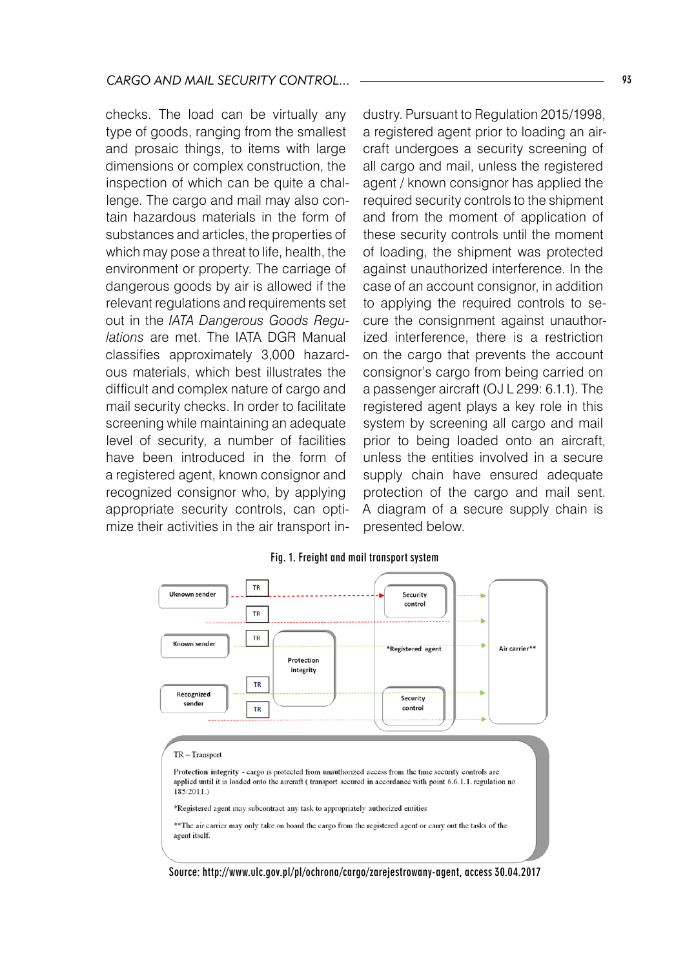#### *CARGO AND MAIL SECURITY CONTROL...* 93

checks. The load can be virtually any type of goods, ranging from the smallest and prosaic things, to items with large dimensions or complex construction, the inspection of which can be quite a challenge. The cargo and mail may also contain hazardous materials in the form of substances and articles, the properties of which may pose a threat to life, health, the environment or property. The carriage of dangerous goods by air is allowed if the relevant regulations and requirements set out in the *IATA Dangerous Goods Regulations* are met. The IATA DGR Manual classifies approximately 3,000 hazardous materials, which best illustrates the difficult and complex nature of cargo and mail security checks. In order to facilitate screening while maintaining an adequate level of security, a number of facilities have been introduced in the form of a registered agent, known consignor and recognized consignor who, by applying appropriate security controls, can optimize their activities in the air transport industry. Pursuant to Regulation 2015/1998, a registered agent prior to loading an aircraft undergoes a security screening of all cargo and mail, unless the registered agent / known consignor has applied the required security controls to the shipment and from the moment of application of these security controls until the moment of loading, the shipment was protected against unauthorized interference. In the case of an account consignor, in addition to applying the required controls to secure the consignment against unauthorized interference, there is a restriction on the cargo that prevents the account consignor's cargo from being carried on a passenger aircraft (OJ L 299: 6.1.1). The registered agent plays a key role in this system by screening all cargo and mail prior to being loaded onto an aircraft, unless the entities involved in a secure supply chain have ensured adequate protection of the cargo and mail sent. A diagram of a secure supply chain is presented below.



Fig. 1. Freight and mail transport system

Source: http://www.ulc.gov.pl/pl/ochrona/cargo/zarejestrowany-agent, access 30.04.2017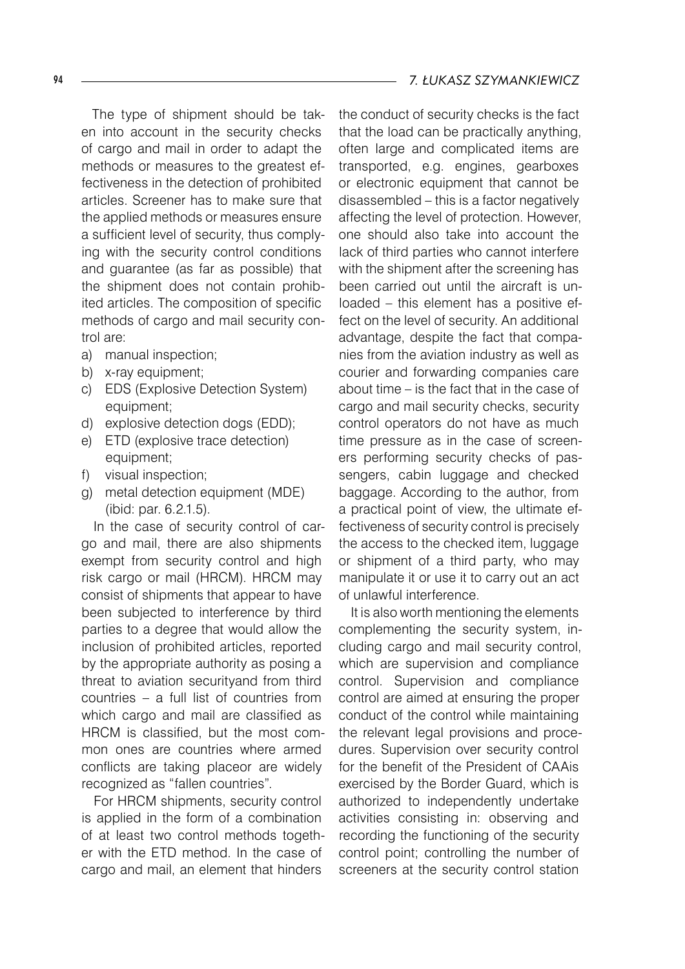The type of shipment should be taken into account in the security checks of cargo and mail in order to adapt the methods or measures to the greatest effectiveness in the detection of prohibited articles. Screener has to make sure that the applied methods or measures ensure a sufficient level of security, thus complying with the security control conditions and guarantee (as far as possible) that the shipment does not contain prohibited articles. The composition of specific methods of cargo and mail security control are:

- a) manual inspection;
- b) x-ray equipment;
- c) EDS (Explosive Detection System) equipment;
- d) explosive detection dogs (EDD);
- e) ETD (explosive trace detection) equipment;
- f) visual inspection;
- g) metal detection equipment (MDE) (ibid: par. 6.2.1.5).

In the case of security control of cargo and mail, there are also shipments exempt from security control and high risk cargo or mail (HRCM). HRCM may consist of shipments that appear to have been subjected to interference by third parties to a degree that would allow the inclusion of prohibited articles, reported by the appropriate authority as posing a threat to aviation securityand from third countries – a full list of countries from which cargo and mail are classified as HRCM is classified, but the most common ones are countries where armed conflicts are taking placeor are widely recognized as "fallen countries".

For HRCM shipments, security control is applied in the form of a combination of at least two control methods together with the ETD method. In the case of cargo and mail, an element that hinders

the conduct of security checks is the fact that the load can be practically anything, often large and complicated items are transported, e.g. engines, gearboxes or electronic equipment that cannot be disassembled – this is a factor negatively affecting the level of protection. However, one should also take into account the lack of third parties who cannot interfere with the shipment after the screening has been carried out until the aircraft is unloaded – this element has a positive effect on the level of security. An additional advantage, despite the fact that companies from the aviation industry as well as courier and forwarding companies care about time – is the fact that in the case of cargo and mail security checks, security control operators do not have as much time pressure as in the case of screeners performing security checks of passengers, cabin luggage and checked baggage. According to the author, from a practical point of view, the ultimate effectiveness of security control is precisely the access to the checked item, luggage or shipment of a third party, who may manipulate it or use it to carry out an act of unlawful interference.

It is also worth mentioning the elements complementing the security system, including cargo and mail security control, which are supervision and compliance control. Supervision and compliance control are aimed at ensuring the proper conduct of the control while maintaining the relevant legal provisions and procedures. Supervision over security control for the benefit of the President of CAAis exercised by the Border Guard, which is authorized to independently undertake activities consisting in: observing and recording the functioning of the security control point; controlling the number of screeners at the security control station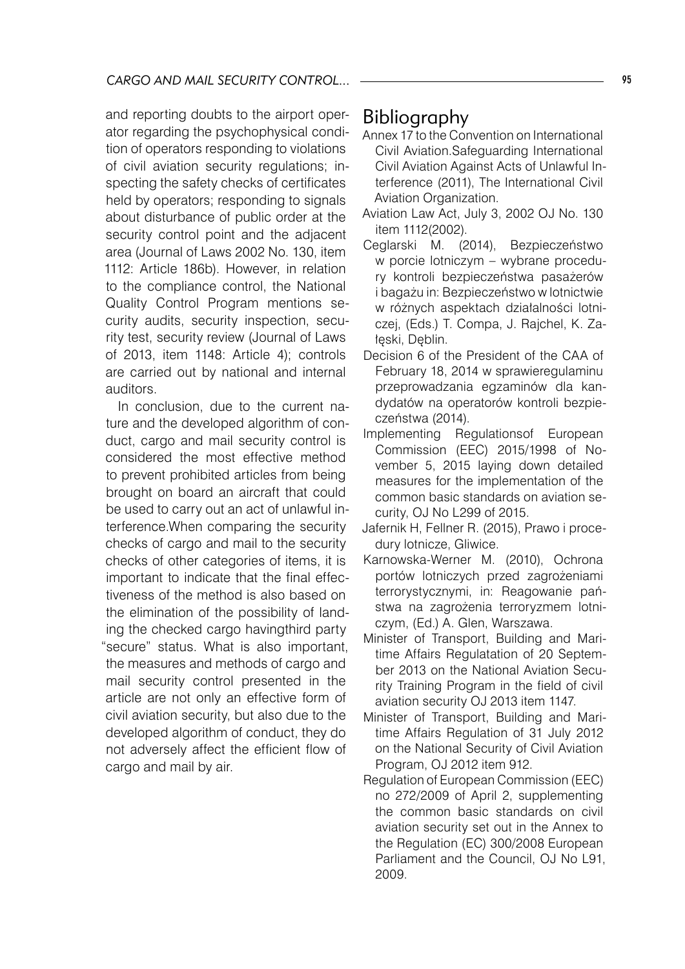and reporting doubts to the airport operator regarding the psychophysical condition of operators responding to violations of civil aviation security regulations; inspecting the safety checks of certificates held by operators; responding to signals about disturbance of public order at the security control point and the adjacent area (Journal of Laws 2002 No. 130, item 1112: Article 186b). However, in relation to the compliance control, the National Quality Control Program mentions security audits, security inspection, security test, security review (Journal of Laws of 2013, item 1148: Article 4); controls are carried out by national and internal auditors.

In conclusion, due to the current nature and the developed algorithm of conduct, cargo and mail security control is considered the most effective method to prevent prohibited articles from being brought on board an aircraft that could be used to carry out an act of unlawful interference.When comparing the security checks of cargo and mail to the security checks of other categories of items, it is important to indicate that the final effectiveness of the method is also based on the elimination of the possibility of landing the checked cargo havingthird party "secure" status. What is also important, the measures and methods of cargo and mail security control presented in the article are not only an effective form of civil aviation security, but also due to the developed algorithm of conduct, they do not adversely affect the efficient flow of cargo and mail by air.

## Bibliography

- Annex 17 to the Convention on International Civil Aviation.Safeguarding International Civil Aviation Against Acts of Unlawful Interference (2011), The International Civil Aviation Organization.
- Aviation Law Act, July 3, 2002 OJ No. 130 item 1112(2002).
- Ceglarski M. (2014), Bezpieczeństwo w porcie lotniczym – wybrane procedury kontroli bezpieczeństwa pasażerów i bagażu in: Bezpieczeństwo w lotnictwie w różnych aspektach działalności lotniczej, (Eds.) T. Compa, J. Rajchel, K. Załęski, Dęblin.
- Decision 6 of the President of the CAA of February 18, 2014 w sprawieregulaminu przeprowadzania egzaminów dla kandydatów na operatorów kontroli bezpieczeństwa (2014).
- Implementing Regulationsof European Commission (EEC) 2015/1998 of November 5, 2015 laying down detailed measures for the implementation of the common basic standards on aviation security, OJ No L299 of 2015.
- Jafernik H, Fellner R. (2015), Prawo i procedury lotnicze, Gliwice.
- Karnowska-Werner M. (2010), Ochrona portów lotniczych przed zagrożeniami terrorystycznymi, in: Reagowanie państwa na zagrożenia terroryzmem lotniczym, (Ed.) A. Glen, Warszawa.
- Minister of Transport, Building and Maritime Affairs Regulatation of 20 September 2013 on the National Aviation Security Training Program in the field of civil aviation security OJ 2013 item 1147.
- Minister of Transport, Building and Maritime Affairs Regulation of 31 July 2012 on the National Security of Civil Aviation Program, OJ 2012 item 912.
- Regulation of European Commission (EEC) no 272/2009 of April 2, supplementing the common basic standards on civil aviation security set out in the Annex to the Regulation (EC) 300/2008 European Parliament and the Council, OJ No L91, 2009.